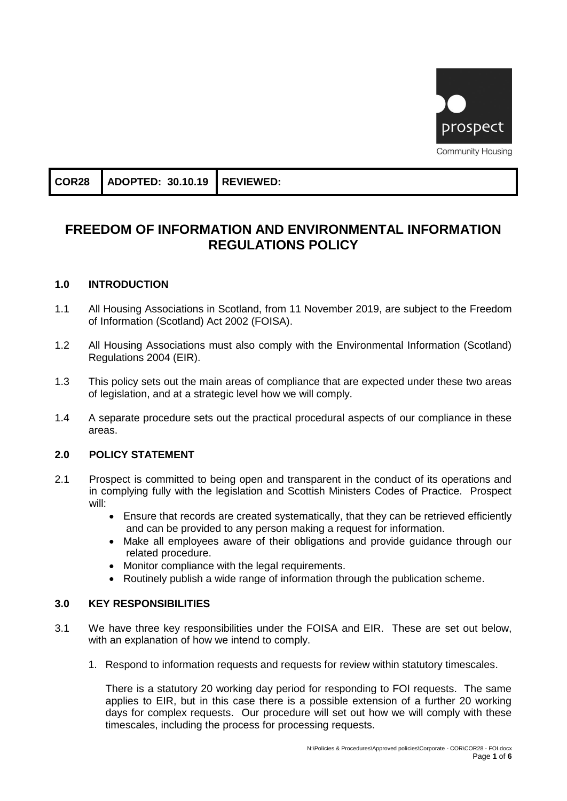

| COR28   ADOPTED: 30.10.19   REVIEWED: |  |
|---------------------------------------|--|
|---------------------------------------|--|

# **FREEDOM OF INFORMATION AND ENVIRONMENTAL INFORMATION REGULATIONS POLICY**

### **1.0 INTRODUCTION**

- 1.1 All Housing Associations in Scotland, from 11 November 2019, are subject to the Freedom of Information (Scotland) Act 2002 (FOISA).
- 1.2 All Housing Associations must also comply with the Environmental Information (Scotland) Regulations 2004 (EIR).
- 1.3 This policy sets out the main areas of compliance that are expected under these two areas of legislation, and at a strategic level how we will comply.
- 1.4 A separate procedure sets out the practical procedural aspects of our compliance in these areas.

### **2.0 POLICY STATEMENT**

- 2.1 Prospect is committed to being open and transparent in the conduct of its operations and in complying fully with the legislation and Scottish Ministers Codes of Practice. Prospect will:
	- Ensure that records are created systematically, that they can be retrieved efficiently and can be provided to any person making a request for information.
	- Make all employees aware of their obligations and provide guidance through our related procedure.
	- Monitor compliance with the legal requirements.
	- Routinely publish a wide range of information through the publication scheme.

### **3.0 KEY RESPONSIBILITIES**

- 3.1 We have three key responsibilities under the FOISA and EIR. These are set out below, with an explanation of how we intend to comply.
	- 1. Respond to information requests and requests for review within statutory timescales.

There is a statutory 20 working day period for responding to FOI requests. The same applies to EIR, but in this case there is a possible extension of a further 20 working days for complex requests. Our procedure will set out how we will comply with these timescales, including the process for processing requests.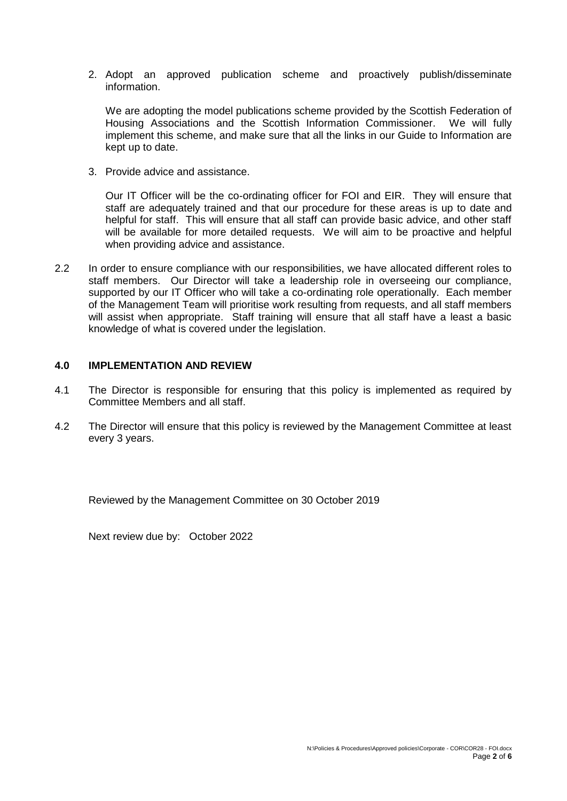2. Adopt an approved publication scheme and proactively publish/disseminate information.

We are adopting the model publications scheme provided by the Scottish Federation of Housing Associations and the Scottish Information Commissioner. We will fully implement this scheme, and make sure that all the links in our Guide to Information are kept up to date.

3. Provide advice and assistance.

Our IT Officer will be the co-ordinating officer for FOI and EIR. They will ensure that staff are adequately trained and that our procedure for these areas is up to date and helpful for staff. This will ensure that all staff can provide basic advice, and other staff will be available for more detailed requests. We will aim to be proactive and helpful when providing advice and assistance.

2.2 In order to ensure compliance with our responsibilities, we have allocated different roles to staff members. Our Director will take a leadership role in overseeing our compliance, supported by our IT Officer who will take a co-ordinating role operationally. Each member of the Management Team will prioritise work resulting from requests, and all staff members will assist when appropriate. Staff training will ensure that all staff have a least a basic knowledge of what is covered under the legislation.

#### **4.0 IMPLEMENTATION AND REVIEW**

- 4.1 The Director is responsible for ensuring that this policy is implemented as required by Committee Members and all staff.
- 4.2 The Director will ensure that this policy is reviewed by the Management Committee at least every 3 years.

Reviewed by the Management Committee on 30 October 2019

Next review due by: October 2022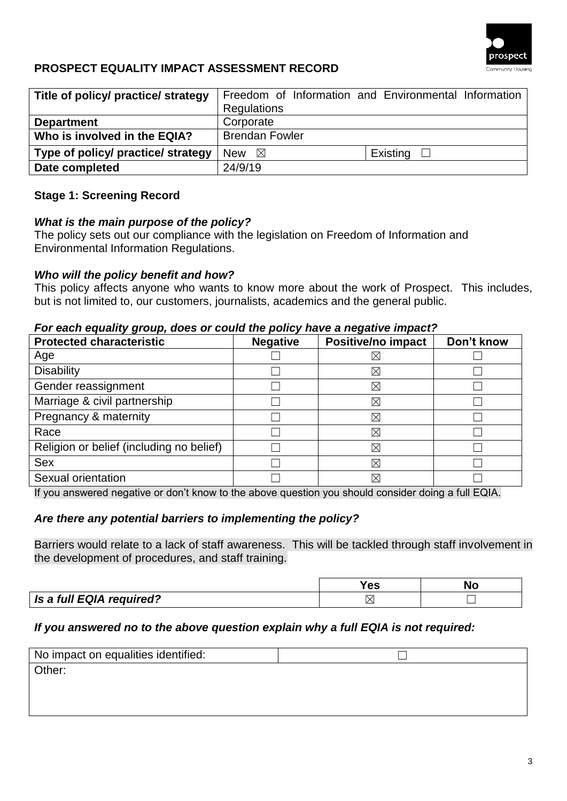

## **PROSPECT EQUALITY IMPACT ASSESSMENT RECORD**

| Title of policy/ practice/ strategy |                       | Freedom of Information and Environmental Information |
|-------------------------------------|-----------------------|------------------------------------------------------|
|                                     | Regulations           |                                                      |
| <b>Department</b>                   | Corporate             |                                                      |
| Who is involved in the EQIA?        | <b>Brendan Fowler</b> |                                                      |
| Type of policy/ practice/ strategy  | New $\boxtimes$       | Existing $\square$                                   |
| Date completed                      | 24/9/19               |                                                      |

### **Stage 1: Screening Record**

### *What is the main purpose of the policy?*

The policy sets out our compliance with the legislation on Freedom of Information and Environmental Information Regulations.

### *Who will the policy benefit and how?*

This policy affects anyone who wants to know more about the work of Prospect. This includes, but is not limited to, our customers, journalists, academics and the general public.

### *For each equality group, does or could the policy have a negative impact?*

| <b>Protected characteristic</b>          | <b>Negative</b> | <b>Positive/no impact</b> | Don't know |
|------------------------------------------|-----------------|---------------------------|------------|
| Age                                      |                 | ⋉                         |            |
| <b>Disability</b>                        |                 | $\boxtimes$               |            |
| Gender reassignment                      |                 | $\times$                  |            |
| Marriage & civil partnership             |                 | ⊠                         |            |
| Pregnancy & maternity                    |                 | $\boxtimes$               |            |
| Race                                     |                 | $\boxtimes$               |            |
| Religion or belief (including no belief) |                 | $\boxtimes$               |            |
| <b>Sex</b>                               |                 | $\boxtimes$               |            |
| Sexual orientation                       |                 | $\boxtimes$               |            |

If you answered negative or don't know to the above question you should consider doing a full EQIA.

### *Are there any potential barriers to implementing the policy?*

Barriers would relate to a lack of staff awareness. This will be tackled through staff involvement in the development of procedures, and staff training.

|                          | 55 | NC |
|--------------------------|----|----|
| Is a full EQIA required? |    |    |

### *If you answered no to the above question explain why a full EQIA is not required:*

| No impact on equalities identified: |  |
|-------------------------------------|--|
| Other:                              |  |
|                                     |  |
|                                     |  |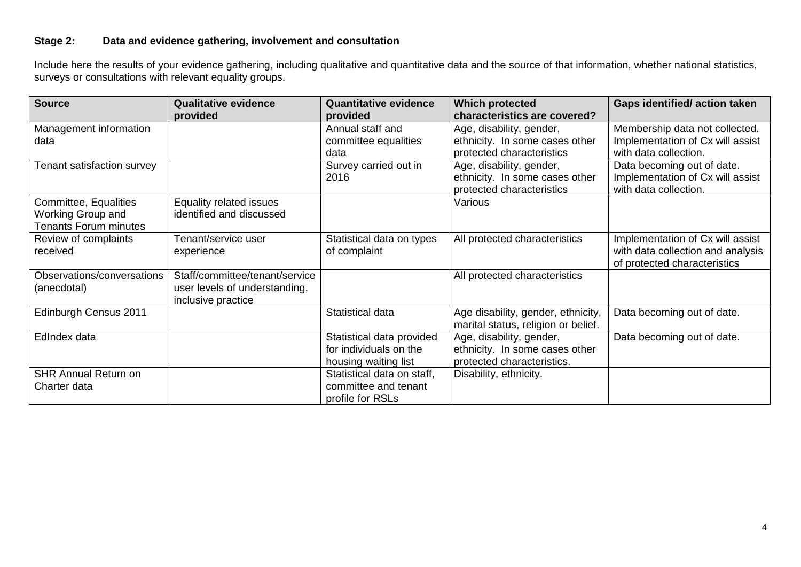### **Stage 2: Data and evidence gathering, involvement and consultation**

Include here the results of your evidence gathering, including qualitative and quantitative data and the source of that information, whether national statistics, surveys or consultations with relevant equality groups.

| <b>Source</b>                | <b>Qualitative evidence</b>    | <b>Quantitative evidence</b> | <b>Which protected</b>              | <b>Gaps identified/action taken</b> |
|------------------------------|--------------------------------|------------------------------|-------------------------------------|-------------------------------------|
|                              | provided                       | provided                     | characteristics are covered?        |                                     |
| Management information       |                                | Annual staff and             | Age, disability, gender,            | Membership data not collected.      |
| data                         |                                | committee equalities         | ethnicity. In some cases other      | Implementation of Cx will assist    |
|                              |                                | data                         | protected characteristics           | with data collection.               |
| Tenant satisfaction survey   |                                | Survey carried out in        | Age, disability, gender,            | Data becoming out of date.          |
|                              |                                | 2016                         | ethnicity. In some cases other      | Implementation of Cx will assist    |
|                              |                                |                              | protected characteristics           | with data collection.               |
| Committee, Equalities        | Equality related issues        |                              | Various                             |                                     |
| <b>Working Group and</b>     | identified and discussed       |                              |                                     |                                     |
| <b>Tenants Forum minutes</b> |                                |                              |                                     |                                     |
| Review of complaints         | Tenant/service user            | Statistical data on types    | All protected characteristics       | Implementation of Cx will assist    |
| received                     | experience                     | of complaint                 |                                     | with data collection and analysis   |
|                              |                                |                              |                                     | of protected characteristics        |
| Observations/conversations   | Staff/committee/tenant/service |                              | All protected characteristics       |                                     |
| (anecdotal)                  | user levels of understanding,  |                              |                                     |                                     |
|                              | inclusive practice             |                              |                                     |                                     |
| Edinburgh Census 2011        |                                | Statistical data             | Age disability, gender, ethnicity,  | Data becoming out of date.          |
|                              |                                |                              | marital status, religion or belief. |                                     |
| EdIndex data                 |                                | Statistical data provided    | Age, disability, gender,            | Data becoming out of date.          |
|                              |                                | for individuals on the       | ethnicity. In some cases other      |                                     |
|                              |                                | housing waiting list         | protected characteristics.          |                                     |
| <b>SHR Annual Return on</b>  |                                | Statistical data on staff,   | Disability, ethnicity.              |                                     |
| Charter data                 |                                | committee and tenant         |                                     |                                     |
|                              |                                | profile for RSLs             |                                     |                                     |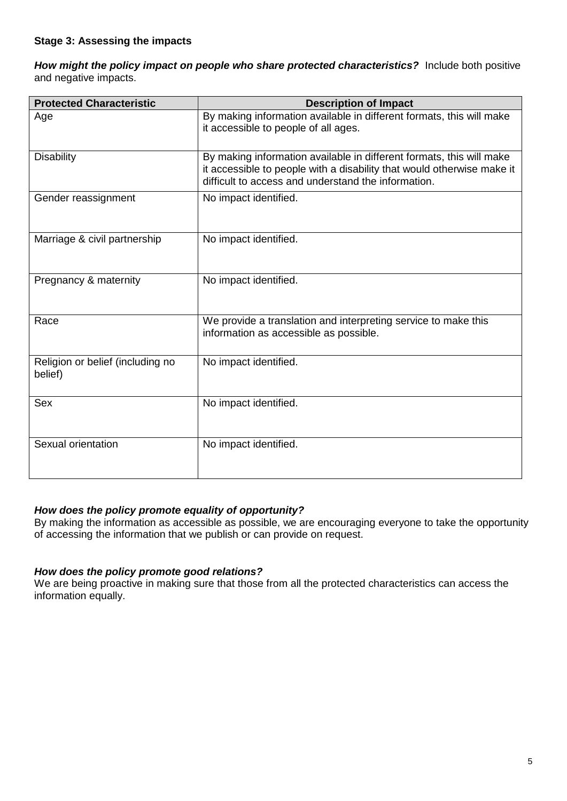*How might the policy impact on people who share protected characteristics?* Include both positive and negative impacts.

| <b>Protected Characteristic</b>             | <b>Description of Impact</b>                                                                                                                                                                          |
|---------------------------------------------|-------------------------------------------------------------------------------------------------------------------------------------------------------------------------------------------------------|
| Age                                         | By making information available in different formats, this will make<br>it accessible to people of all ages.                                                                                          |
| <b>Disability</b>                           | By making information available in different formats, this will make<br>it accessible to people with a disability that would otherwise make it<br>difficult to access and understand the information. |
| Gender reassignment                         | No impact identified.                                                                                                                                                                                 |
| Marriage & civil partnership                | No impact identified.                                                                                                                                                                                 |
| Pregnancy & maternity                       | No impact identified.                                                                                                                                                                                 |
| Race                                        | We provide a translation and interpreting service to make this<br>information as accessible as possible.                                                                                              |
| Religion or belief (including no<br>belief) | No impact identified.                                                                                                                                                                                 |
| <b>Sex</b>                                  | No impact identified.                                                                                                                                                                                 |
| Sexual orientation                          | No impact identified.                                                                                                                                                                                 |

### *How does the policy promote equality of opportunity?*

By making the information as accessible as possible, we are encouraging everyone to take the opportunity of accessing the information that we publish or can provide on request.

### *How does the policy promote good relations?*

We are being proactive in making sure that those from all the protected characteristics can access the information equally.